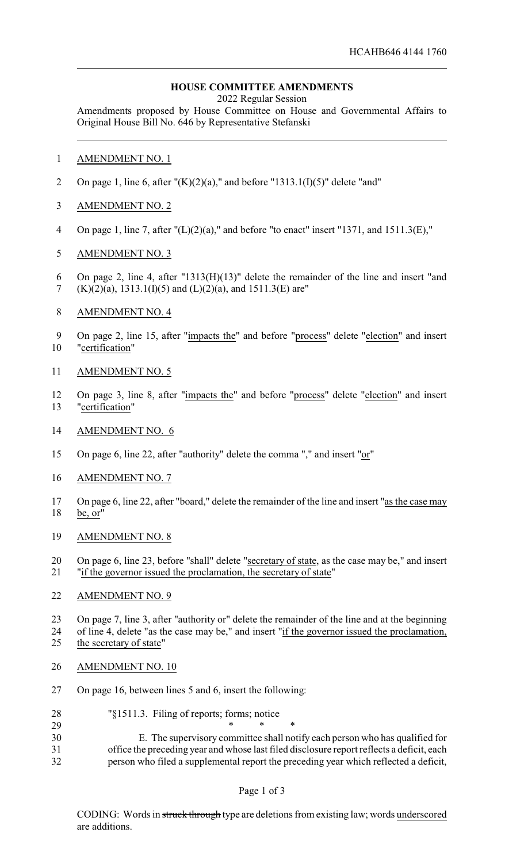# **HOUSE COMMITTEE AMENDMENTS**

2022 Regular Session

Amendments proposed by House Committee on House and Governmental Affairs to Original House Bill No. 646 by Representative Stefanski

- AMENDMENT NO. 1
- 2 On page 1, line 6, after " $(K)(2)(a)$ ," and before "1313.1(I)(5)" delete "and"
- AMENDMENT NO. 2
- On page 1, line 7, after "(L)(2)(a)," and before "to enact" insert "1371, and 1511.3(E),"
- AMENDMENT NO. 3
- On page 2, line 4, after "1313(H)(13)" delete the remainder of the line and insert "and (K)(2)(a), 1313.1(I)(5) and (L)(2)(a), and 1511.3(E) are"
- AMENDMENT NO. 4
- On page 2, line 15, after "impacts the" and before "process" delete "election" and insert "certification"
- AMENDMENT NO. 5
- On page 3, line 8, after "impacts the" and before "process" delete "election" and insert "certification"
- AMENDMENT NO. 6
- On page 6, line 22, after "authority" delete the comma "," and insert "or"
- AMENDMENT NO. 7
- On page 6, line 22, after "board," delete the remainder of the line and insert "as the case may be, or"
- AMENDMENT NO. 8
- On page 6, line 23, before "shall" delete "secretary of state, as the case may be," and insert "if the governor issued the proclamation, the secretary of state"

#### AMENDMENT NO. 9

 On page 7, line 3, after "authority or" delete the remainder of the line and at the beginning of line 4, delete "as the case may be," and insert "if the governor issued the proclamation, 25 the secretary of state"

- AMENDMENT NO. 10
- On page 16, between lines 5 and 6, insert the following:
- "§1511.3. Filing of reports; forms; notice
- \* \* \* E. The supervisory committee shall notify each person who has qualified for office the preceding year and whose last filed disclosure report reflects a deficit, each person who filed a supplemental report the preceding year which reflected a deficit,

## Page 1 of 3

CODING: Words in struck through type are deletions from existing law; words underscored are additions.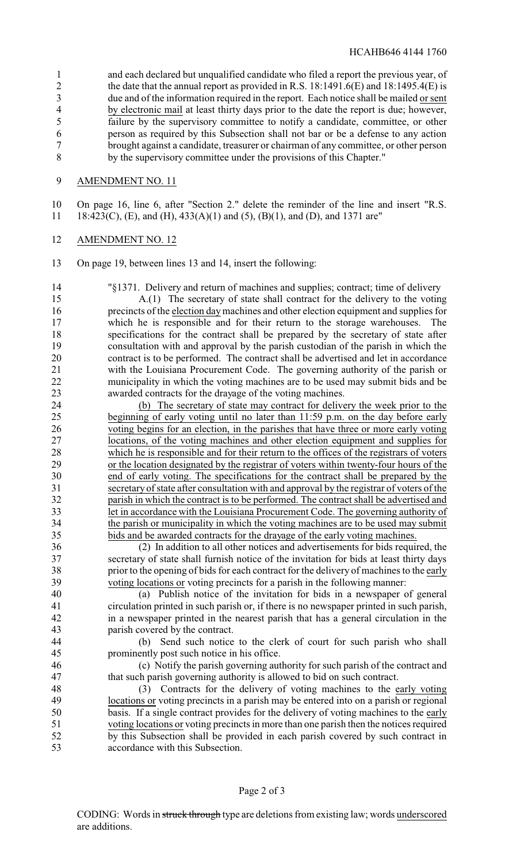and each declared but unqualified candidate who filed a report the previous year, of 2 the date that the annual report as provided in R.S. 18:1491.6(E) and 18:1495.4(E) is due and of the information required in the report. Each notice shall be mailed or sent by electronic mail at least thirty days prior to the date the report is due; however, failure by the supervisory committee to notify a candidate, committee, or other person as required by this Subsection shall not bar or be a defense to any action brought against a candidate, treasurer or chairman of any committee, or other person by the supervisory committee under the provisions of this Chapter."

## AMENDMENT NO. 11

 On page 16, line 6, after "Section 2." delete the reminder of the line and insert "R.S. 18:423(C), (E), and (H), 433(A)(1) and (5), (B)(1), and (D), and 1371 are"

#### AMENDMENT NO. 12

On page 19, between lines 13 and 14, insert the following:

"§1371. Delivery and return of machines and supplies; contract; time of delivery

 A.(1) The secretary of state shall contract for the delivery to the voting precincts of the election daymachines and other election equipment and supplies for which he is responsible and for their return to the storage warehouses. The specifications for the contract shall be prepared by the secretary of state after 19 consultation with and approval by the parish custodian of the parish in which the contract is to be performed. The contract shall be advertised and let in accordance contract is to be performed. The contract shall be advertised and let in accordance with the Louisiana Procurement Code. The governing authority of the parish or municipality in which the voting machines are to be used may submit bids and be awarded contracts for the drayage of the voting machines.

 (b) The secretary of state may contract for delivery the week prior to the beginning of early voting until no later than 11:59 p.m. on the day before early voting begins for an election, in the parishes that have three or more early voting locations, of the voting machines and other election equipment and supplies for which he is responsible and for their return to the offices of the registrars of voters 29 or the location designated by the registrar of voters within twenty-four hours of the end of early voting. The specifications for the contract shall be prepared by the end of early voting. The specifications for the contract shall be prepared by the secretary of state after consultation with and approval by the registrar of voters of the parish in which the contract is to be performed. The contract shall be advertised and let in accordance with the Louisiana Procurement Code. The governing authority of the parish or municipality in which the voting machines are to be used may submit bids and be awarded contracts for the drayage of the early voting machines.

 (2) In addition to all other notices and advertisements for bids required, the secretary of state shall furnish notice of the invitation for bids at least thirty days prior to the opening of bids for each contract for the delivery of machines to the early voting locations or voting precincts for a parish in the following manner:

 (a) Publish notice of the invitation for bids in a newspaper of general circulation printed in such parish or, if there is no newspaper printed in such parish, in a newspaper printed in the nearest parish that has a general circulation in the parish covered by the contract.

 (b) Send such notice to the clerk of court for such parish who shall prominently post such notice in his office.

 (c) Notify the parish governing authority for such parish of the contract and that such parish governing authority is allowed to bid on such contract.

 (3) Contracts for the delivery of voting machines to the early voting locations or voting precincts in a parish may be entered into on a parish or regional basis. If a single contract provides for the delivery of voting machines to the early voting locations or voting precincts in more than one parish then the notices required by this Subsection shall be provided in each parish covered by such contract in accordance with this Subsection.